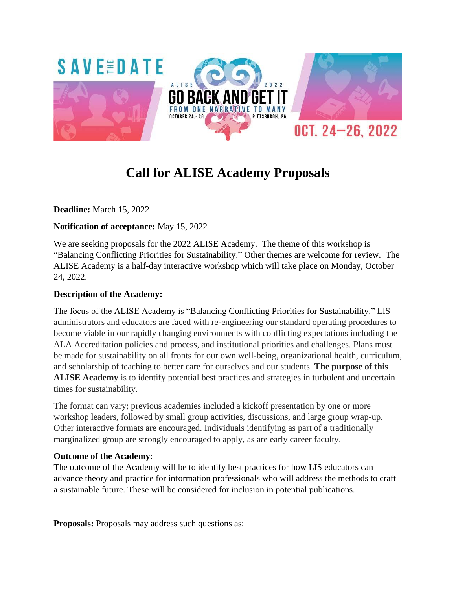

# **Call for ALISE Academy Proposals**

**Deadline:** March 15, 2022

#### **Notification of acceptance:** May 15, 2022

We are seeking proposals for the 2022 ALISE Academy. The theme of this workshop is "Balancing Conflicting Priorities for Sustainability." Other themes are welcome for review. The ALISE Academy is a half-day interactive workshop which will take place on Monday, October 24, 2022.

#### **Description of the Academy:**

The focus of the ALISE Academy is "Balancing Conflicting Priorities for Sustainability." LIS administrators and educators are faced with re-engineering our standard operating procedures to become viable in our rapidly changing environments with conflicting expectations including the ALA Accreditation policies and process, and institutional priorities and challenges. Plans must be made for sustainability on all fronts for our own well-being, organizational health, curriculum, and scholarship of teaching to better care for ourselves and our students. **The purpose of this ALISE Academy** is to identify potential best practices and strategies in turbulent and uncertain times for sustainability.

The format can vary; previous academies included a kickoff presentation by one or more workshop leaders, followed by small group activities, discussions, and large group wrap-up. Other interactive formats are encouraged. Individuals identifying as part of a traditionally marginalized group are strongly encouraged to apply, as are early career faculty.

#### **Outcome of the Academy**:

The outcome of the Academy will be to identify best practices for how LIS educators can advance theory and practice for information professionals who will address the methods to craft a sustainable future. These will be considered for inclusion in potential publications.

**Proposals:** Proposals may address such questions as: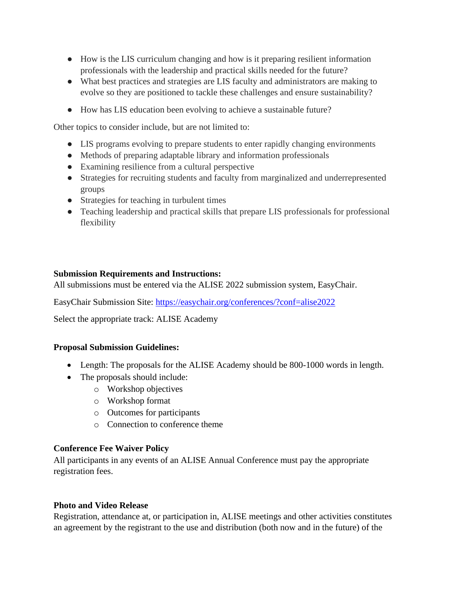- How is the LIS curriculum changing and how is it preparing resilient information professionals with the leadership and practical skills needed for the future?
- What best practices and strategies are LIS faculty and administrators are making to evolve so they are positioned to tackle these challenges and ensure sustainability?
- How has LIS education been evolving to achieve a sustainable future?

Other topics to consider include, but are not limited to:

- LIS programs evolving to prepare students to enter rapidly changing environments
- Methods of preparing adaptable library and information professionals
- Examining resilience from a cultural perspective
- Strategies for recruiting students and faculty from marginalized and underrepresented groups
- Strategies for teaching in turbulent times
- Teaching leadership and practical skills that prepare LIS professionals for professional flexibility

#### **Submission Requirements and Instructions:**

All submissions must be entered via the ALISE 2022 submission system, EasyChair.

EasyChair Submission Site:<https://easychair.org/conferences/?conf=alise2022>

Select the appropriate track: ALISE Academy

#### **Proposal Submission Guidelines:**

- Length: The proposals for the ALISE Academy should be 800-1000 words in length.
- The proposals should include:
	- o Workshop objectives
	- o Workshop format
	- o Outcomes for participants
	- o Connection to conference theme

#### **Conference Fee Waiver Policy**

All participants in any events of an ALISE Annual Conference must pay the appropriate registration fees.

#### **Photo and Video Release**

Registration, attendance at, or participation in, ALISE meetings and other activities constitutes an agreement by the registrant to the use and distribution (both now and in the future) of the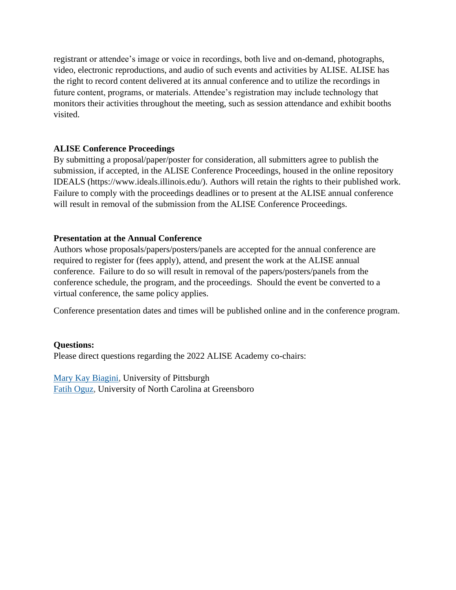registrant or attendee's image or voice in recordings, both live and on-demand, photographs, video, electronic reproductions, and audio of such events and activities by ALISE. ALISE has the right to record content delivered at its annual conference and to utilize the recordings in future content, programs, or materials. Attendee's registration may include technology that monitors their activities throughout the meeting, such as session attendance and exhibit booths visited.

#### **ALISE Conference Proceedings**

By submitting a proposal/paper/poster for consideration, all submitters agree to publish the submission, if accepted, in the ALISE Conference Proceedings, housed in the online repository IDEALS (https://www.ideals.illinois.edu/). Authors will retain the rights to their published work. Failure to comply with the proceedings deadlines or to present at the ALISE annual conference will result in removal of the submission from the ALISE Conference Proceedings.

#### **Presentation at the Annual Conference**

Authors whose proposals/papers/posters/panels are accepted for the annual conference are required to register for (fees apply), attend, and present the work at the ALISE annual conference. Failure to do so will result in removal of the papers/posters/panels from the conference schedule, the program, and the proceedings. Should the event be converted to a virtual conference, the same policy applies.

Conference presentation dates and times will be published online and in the conference program.

#### **Questions:**

Please direct questions regarding the 2022 ALISE Academy co-chairs:

Mary Kay [Biagini,](mailto:biagini@pitt.edu) University of Pittsburgh Fatih [Oguz,](mailto:f_oguz@uncg.edu) University of North Carolina at Greensboro